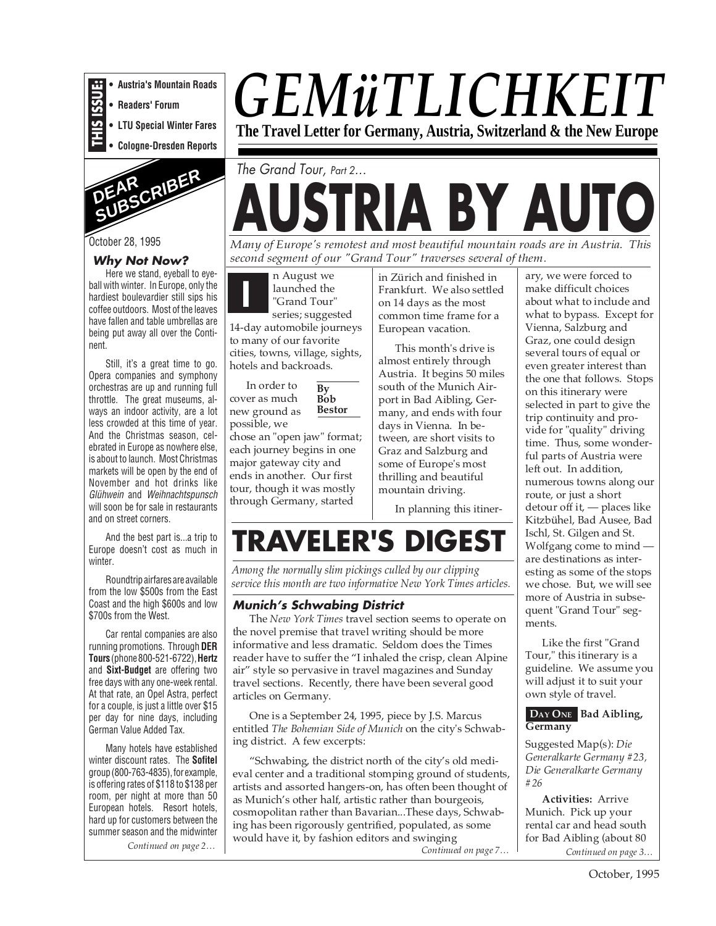**• Austria's Mountain Roads**

**• Readers' Forum**

**THIS ISSUE: • LTU Special Winter Fares**

**• Cologne-Dresden Reports**



October 28, 1995

#### **Why Not Now?**

Here we stand, eyeball to eyeball with winter. In Europe, only the hardiest boulevardier still sips his coffee outdoors. Most of the leaves have fallen and table umbrellas are being put away all over the Continent.

Still, it's a great time to go. Opera companies and symphony orchestras are up and running full throttle. The great museums, always an indoor activity, are a lot less crowded at this time of year. And the Christmas season, celebrated in Europe as nowhere else, is about to launch. Most Christmas markets will be open by the end of November and hot drinks like Glühwein and Weihnachtspunsch will soon be for sale in restaurants and on street corners.

And the best part is...a trip to Europe doesn't cost as much in winter.

Roundtrip airfares are available from the low \$500s from the East Coast and the high \$600s and low \$700s from the West.

Car rental companies are also running promotions. Through **DER Tours** (phone 800-521-6722), **Hertz** and **Sixt-Budget** are offering two free days with any one-week rental. At that rate, an Opel Astra, perfect for a couple, is just a little over \$15 per day for nine days, including German Value Added Tax.

Many hotels have established winter discount rates. The **Sofitel** group (800-763-4835), for example, is offering rates of \$118 to \$138 per room, per night at more than 50 European hotels. Resort hotels, hard up for customers between the summer season and the midwinter

*Continued on page 2…*

# *GEMüTLICHKEIT*

**The Travel Letter for Germany, Austria, Switzerland & the New Europe**

## **AUSTRIA BY AUTO** The Grand Tour, Part 2...

*Many of Europe's remotest and most beautiful mountain roads are in Austria. This second segment of our "Grand Tour" traverses several of them.*

**I** n August we launched the "Grand Tour" series; suggested 14-day automobile journeys to many of our favorite cities, towns, village, sights, hotels and backroads.

**By Bob Bestor** In order to cover as much new ground as

possible, we chose an "open jaw" format; each journey begins in one major gateway city and ends in another. Our first tour, though it was mostly through Germany, started

in Zürich and finished in Frankfurt. We also settled on 14 days as the most common time frame for a European vacation.

This month's drive is almost entirely through Austria. It begins 50 miles south of the Munich Airport in Bad Aibling, Germany, and ends with four days in Vienna. In between, are short visits to Graz and Salzburg and some of Europe's most thrilling and beautiful mountain driving.

In planning this itiner-

### **TRAVELER'S DIGEST**

*Among the normally slim pickings culled by our clipping service this month are two informative New York Times articles.*

### **Munich's Schwabing District**

The *New York Times* travel section seems to operate on the novel premise that travel writing should be more informative and less dramatic. Seldom does the Times reader have to suffer the "I inhaled the crisp, clean Alpine air" style so pervasive in travel magazines and Sunday travel sections. Recently, there have been several good articles on Germany.

One is a September 24, 1995, piece by J.S. Marcus entitled *The Bohemian Side of Munich* on the city's Schwabing district. A few excerpts:

"Schwabing, the district north of the city's old medieval center and a traditional stomping ground of students, artists and assorted hangers-on, has often been thought of as Munich's other half, artistic rather than bourgeois, cosmopolitan rather than Bavarian...These days, Schwabing has been rigorously gentrified, populated, as some would have it, by fashion editors and swinging

*Continued on page 7…*

ary, we were forced to make difficult choices about what to include and what to bypass. Except for Vienna, Salzburg and Graz, one could design several tours of equal or even greater interest than the one that follows. Stops on this itinerary were selected in part to give the trip continuity and provide for "quality" driving time. Thus, some wonderful parts of Austria were left out. In addition, numerous towns along our route, or just a short detour off it, — places like Kitzbühel, Bad Ausee, Bad Ischl, St. Gilgen and St. Wolfgang come to mind are destinations as interesting as some of the stops we chose. But, we will see more of Austria in subsequent "Grand Tour" segments.

Like the first "Grand Tour," this itinerary is a guideline. We assume you will adjust it to suit your own style of travel.

#### **DAY ONE Bad Aibling, Germany**

Suggested Map(s): *Die Generalkarte Germany #23, Die Generalkarte Germany #26*

*Continued on page 3…* **Activities:** Arrive Munich. Pick up your rental car and head south for Bad Aibling (about 80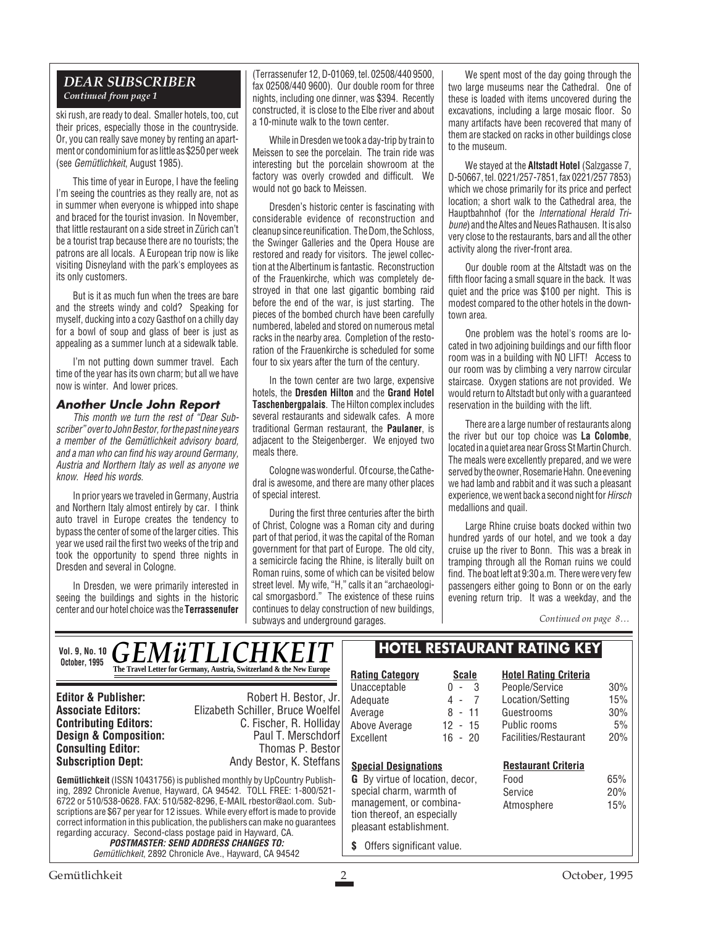#### *DEAR SUBSCRIBER Continued from page 1*

ski rush, are ready to deal. Smaller hotels, too, cut their prices, especially those in the countryside. Or, you can really save money by renting an apartment or condominium for as little as \$250 per week (see Gemütlichkeit, August 1985).

This time of year in Europe, I have the feeling I'm seeing the countries as they really are, not as in summer when everyone is whipped into shape and braced for the tourist invasion. In November, that little restaurant on a side street in Zürich can't be a tourist trap because there are no tourists; the patrons are all locals. A European trip now is like visiting Disneyland with the park's employees as its only customers.

But is it as much fun when the trees are bare and the streets windy and cold? Speaking for myself, ducking into a cozy Gasthof on a chilly day for a bowl of soup and glass of beer is just as appealing as a summer lunch at a sidewalk table.

I'm not putting down summer travel. Each time of the year has its own charm; but all we have now is winter. And lower prices.

#### **Another Uncle John Report**

This month we turn the rest of "Dear Subscriber" over to John Bestor, for the past nine years a member of the Gemütlichkeit advisory board, and a man who can find his way around Germany, Austria and Northern Italy as well as anyone we know. Heed his words.

In prior years we traveled in Germany, Austria and Northern Italy almost entirely by car. I think auto travel in Europe creates the tendency to bypass the center of some of the larger cities. This year we used rail the first two weeks of the trip and took the opportunity to spend three nights in Dresden and several in Cologne.

In Dresden, we were primarily interested in seeing the buildings and sights in the historic center and our hotel choice was the **Terrassenufer**

(Terrassenufer 12, D-01069, tel. 02508/440 9500, fax 02508/440 9600). Our double room for three nights, including one dinner, was \$394. Recently constructed, it is close to the Elbe river and about a 10-minute walk to the town center.

While in Dresden we took a day-trip by train to Meissen to see the porcelain. The train ride was interesting but the porcelain showroom at the factory was overly crowded and difficult. We would not go back to Meissen.

Dresden's historic center is fascinating with considerable evidence of reconstruction and cleanup since reunification. The Dom, the Schloss, the Swinger Galleries and the Opera House are restored and ready for visitors. The jewel collection at the Albertinum is fantastic. Reconstruction of the Frauenkirche, which was completely destroyed in that one last gigantic bombing raid before the end of the war, is just starting. The pieces of the bombed church have been carefully numbered, labeled and stored on numerous metal racks in the nearby area. Completion of the restoration of the Frauenkirche is scheduled for some four to six years after the turn of the century.

In the town center are two large, expensive hotels, the **Dresden Hilton** and the **Grand Hotel Taschenbergpalais**. The Hilton complex includes several restaurants and sidewalk cafes. A more traditional German restaurant, the **Paulaner**, is adiacent to the Steigenberger. We enjoyed two meals there.

Cologne was wonderful. Of course, the Cathedral is awesome, and there are many other places of special interest.

During the first three centuries after the birth of Christ, Cologne was a Roman city and during part of that period, it was the capital of the Roman government for that part of Europe. The old city, a semicircle facing the Rhine, is literally built on Roman ruins, some of which can be visited below street level. My wife, "H," calls it an "archaeological smorgasbord." The existence of these ruins continues to delay construction of new buildings, subways and underground garages.

We spent most of the day going through the two large museums near the Cathedral. One of these is loaded with items uncovered during the excavations, including a large mosaic floor. So many artifacts have been recovered that many of them are stacked on racks in other buildings close to the museum.

We stayed at the **Altstadt Hotel** (Salzgasse 7, D-50667, tel. 0221/257-7851, fax 0221/257 7853) which we chose primarily for its price and perfect location; a short walk to the Cathedral area, the Hauptbahnhof (for the International Herald Tribune) and the Altes and Neues Rathausen. It is also very close to the restaurants, bars and all the other activity along the river-front area.

Our double room at the Altstadt was on the fifth floor facing a small square in the back. It was quiet and the price was \$100 per night. This is modest compared to the other hotels in the downtown area.

One problem was the hotel's rooms are located in two adjoining buildings and our fifth floor room was in a building with NO LIFT! Access to our room was by climbing a very narrow circular staircase. Oxygen stations are not provided. We would return to Altstadt but only with a guaranteed reservation in the building with the lift.

There are a large number of restaurants along the river but our top choice was **La Colombe**, located in a quiet area near Gross St Martin Church. The meals were excellently prepared, and we were served by the owner, Rosemarie Hahn. One evening we had lamb and rabbit and it was such a pleasant experience, we went back a second night for Hirsch medallions and quail.

Large Rhine cruise boats docked within two hundred yards of our hotel, and we took a day cruise up the river to Bonn. This was a break in tramping through all the Roman ruins we could find. The boat left at 9:30 a.m. There were very few passengers either going to Bonn or on the early evening return trip. It was a weekday, and the

*Continued on page 8…*

#### Gemütlichkeit 2 October, 1995 **Gemütlichkeit** (ISSN 10431756) is published monthly by UpCountry Publishing, 2892 Chronicle Avenue, Hayward, CA 94542. TOLL FREE: 1-800/521- 6722 or 510/538-0628. FAX: 510/582-8296, E-MAIL rbestor@aol.com. Subscriptions are \$67 per year for 12 issues. While every effort is made to provide correct information in this publication, the publishers can make no guarantees regarding accuracy. Second-class postage paid in Hayward, CA. **POSTMASTER: SEND ADDRESS CHANGES TO:** Gemütlichkeit, 2892 Chronicle Ave., Hayward, CA 94542 **Editor & Publisher:** Robert H. Bestor, Jr. **Associate Editors:** Elizabeth Schiller, Bruce Woelfel **C. Fischer, R. Holliday**<br>Paul T. Merschdorf **Design & Composition:** Paul T. Merschdorf **Consulting Editor:** Paul T. Merschdorf **Consulting Editor:** Paul Thomas P. Bestor **Consulting Editor:**<br>Subscription Dept: Andy Bestor, K. Steffans *GEMüTLICHKEIT* **The Travel Letter for Germany, Austria, Switzerland & the New Europe**  $\mathbb{R}$ **Rating Category Scale** Unacceptable 0 - 3<br>Adequate 4 - 7 Adequate  $\begin{array}{ccc} 4 & -7 \\ 4 & -7 \end{array}$ Average Above Average 12 - 15 Excellent 16 - 20 **Hotel Rating Criteria** People/Service 30% Location/Setting 15% Guestrooms 30% Public rooms 5% Facilities/Restaurant 20% **Special Designations G** By virtue of location, decor, special charm, warmth of management, or combination thereof, an especially pleasant establishment. **\$** Offers significant value. **HOTEL RESTAURANT RATING KEY Restaurant Criteria** Food 65% Service 20% Atmosphere 15% **Vol. 9, No. 10 October, 1995**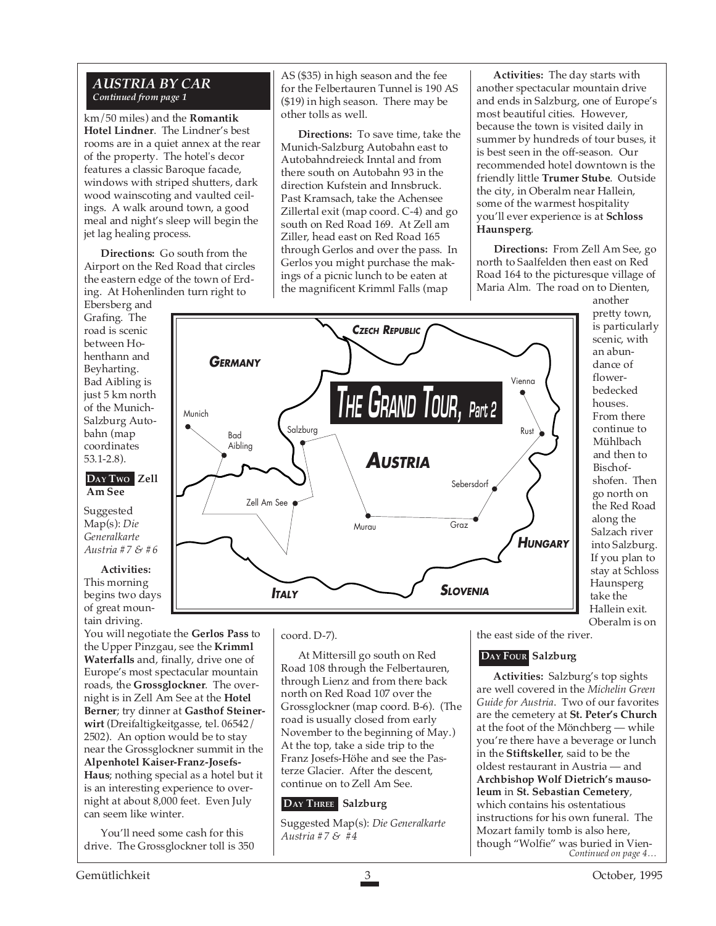#### *AUSTRIA BY CAR Continued from page 1*

km/50 miles) and the **Romantik Hotel Lindner**. The Lindner's best rooms are in a quiet annex at the rear of the property. The hotel's decor features a classic Baroque facade, windows with striped shutters, dark wood wainscoting and vaulted ceilings. A walk around town, a good meal and night's sleep will begin the jet lag healing process.

**Directions:** Go south from the Airport on the Red Road that circles the eastern edge of the town of Erding. At Hohenlinden turn right to

Ebersberg and Grafing. The road is scenic between Hohenthann and Beyharting. Bad Aibling is just 5 km north of the Munich-Salzburg Autobahn (map coordinates 53.1-2.8).

#### **DAY TWO Zell Am See**

Suggested Map(s): *Die Generalkarte Austria #7 & #6*

**Activities:**

This morning begins two days of great mountain driving.

You will negotiate the **Gerlos Pass** to the Upper Pinzgau, see the **Krimml Waterfalls** and, finally, drive one of Europe's most spectacular mountain roads, the **Grossglockner**. The overnight is in Zell Am See at the **Hotel Berner**; try dinner at **Gasthof Steinerwirt** (Dreifaltigkeitgasse, tel. 06542/ 2502). An option would be to stay near the Grossglockner summit in the **Alpenhotel Kaiser-Franz-Josefs-Haus**; nothing special as a hotel but it is an interesting experience to overnight at about 8,000 feet. Even July can seem like winter.

You'll need some cash for this drive. The Grossglockner toll is 350 AS (\$35) in high season and the fee for the Felbertauren Tunnel is 190 AS (\$19) in high season. There may be other tolls as well.

**Directions:** To save time, take the Munich-Salzburg Autobahn east to Autobahndreieck Inntal and from there south on Autobahn 93 in the direction Kufstein and Innsbruck. Past Kramsach, take the Achensee Zillertal exit (map coord. C-4) and go south on Red Road 169. At Zell am Ziller, head east on Red Road 165 through Gerlos and over the pass. In Gerlos you might purchase the makings of a picnic lunch to be eaten at the magnificent Krimml Falls (map

**Activities:** The day starts with another spectacular mountain drive and ends in Salzburg, one of Europe's most beautiful cities. However, because the town is visited daily in summer by hundreds of tour buses, it is best seen in the off-season. Our recommended hotel downtown is the friendly little **Trumer Stube**. Outside the city, in Oberalm near Hallein, some of the warmest hospitality you'll ever experience is at **Schloss Haunsperg**.

**Directions:** From Zell Am See, go north to Saalfelden then east on Red Road 164 to the picturesque village of Maria Alm. The road on to Dienten,



another pretty town, is particularly scenic, with an abundance of flowerbedecked houses. From there continue to Mühlbach and then to Bischofshofen. Then go north on the Red Road along the Salzach river into Salzburg. If you plan to stay at Schloss Haunsperg take the Hallein exit. Oberalm is on

#### coord. D-7).

At Mittersill go south on Red Road 108 through the Felbertauren, through Lienz and from there back north on Red Road 107 over the Grossglockner (map coord. B-6). (The road is usually closed from early November to the beginning of May.) At the top, take a side trip to the Franz Josefs-Höhe and see the Pasterze Glacier. After the descent, continue on to Zell Am See.

#### **DAY THREE Salzburg**

Suggested Map(s): *Die Generalkarte Austria #7 & #4*

the east side of the river.

#### **DAY FOUR Salzburg**

**Activities:** Salzburg's top sights are well covered in the *Michelin Green Guide for Austria*. Two of our favorites are the cemetery at **St. Peter's Church** at the foot of the Mönchberg — while you're there have a beverage or lunch in the **Stiftskeller**, said to be the oldest restaurant in Austria — and **Archbishop Wolf Dietrich's mausoleum** in **St. Sebastian Cemetery**, which contains his ostentatious instructions for his own funeral. The Mozart family tomb is also here, though "Wolfie" was buried in Vien-*Continued on page 4…*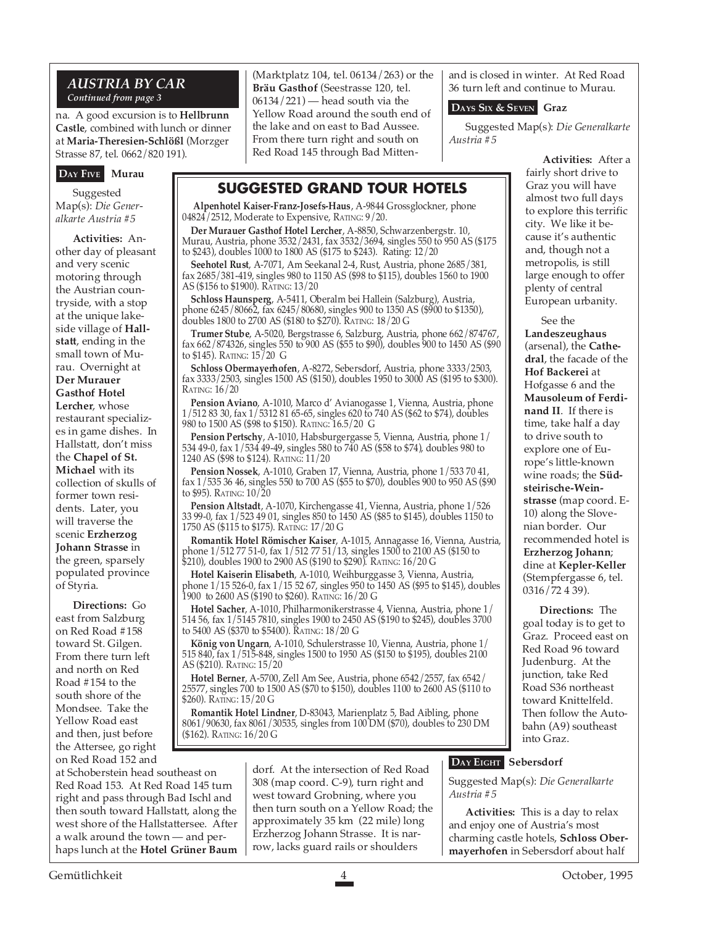#### *AUSTRIA BY CAR Continued from page 3*

na. A good excursion is to **Hellbrunn Castle**, combined with lunch or dinner at **Maria-Theresien-Schlößl** (Morzger Strasse 87, tel. 0662/820 191).

#### **DAY FIVE Murau**

Suggested Map(s): *Die Generalkarte Austria #5*

**Activities:** Another day of pleasant and very scenic motoring through the Austrian countryside, with a stop at the unique lakeside village of **Hallstatt**, ending in the small town of Murau. Overnight at **Der Murauer Gasthof Hotel Lercher**, whose restaurant specializes in game dishes. In Hallstatt, don't miss the **Chapel of St. Michael** with its collection of skulls of former town residents. Later, you will traverse the scenic **Erzherzog Johann Strasse** in the green, sparsely populated province of Styria.

**Directions:** Go east from Salzburg on Red Road #158 toward St. Gilgen. From there turn left and north on Red Road #154 to the south shore of the Mondsee. Take the Yellow Road east and then, just before the Attersee, go right on Red Road 152 and

at Schoberstein head southeast on Red Road 153. At Red Road 145 turn right and pass through Bad Ischl and then south toward Hallstatt, along the west shore of the Hallstattersee. After a walk around the town — and perhaps lunch at the **Hotel Grüner Baum**

(Marktplatz 104, tel. 06134/263) or the **Bräu Gasthof** (Seestrasse 120, tel. 06134/221) — head south via the Yellow Road around the south end of the lake and on east to Bad Aussee. From there turn right and south on Red Road 145 through Bad Mitten-

**SUGGESTED GRAND TOUR HOTELS Alpenhotel Kaiser-Franz-Josefs-Haus**, A-9844 Grossglockner, phone

**Der Murauer Gasthof Hotel Lercher**, A-8850, Schwarzenbergstr. 10, Murau, Austria, phone 3532/2431, fax 3532/3694, singles 550 to 950 AS (\$175

**Seehotel Rust**, A-7071, Am Seekanal 2-4, Rust, Austria, phone 2685/381, fax 2685/381-419, singles 980 to 1150 AS (\$98 to \$115), doubles 1560 to 1900

**Schloss Haunsperg**, A-5411, Oberalm bei Hallein (Salzburg), Austria, phone 6245/80662, fax 6245/80680, singles 900 to 1350 AS (\$900 to \$1350),

**Trumer Stube**, A-5020, Bergstrasse 6, Salzburg, Austria, phone 662/874767, fax 662/874326, singles 550 to 900 AS (\$55 to \$90), doubles 900 to 1450 AS (\$90

**Schloss Obermayerhofen**, A-8272, Sebersdorf, Austria, phone 3333/2503, fax 3333/2503, singles 1500 AS (\$150), doubles 1950 to 3000 AS (\$195 to \$300).

**Pension Aviano**, A-1010, Marco d' Avianogasse 1, Vienna, Austria, phone 1/512 83 30, fax 1/5312 81 65-65, singles 620 to 740 AS (\$62 to \$74), doubles

**Pension Pertschy**, A-1010, Habsburgergasse 5, Vienna, Austria, phone 1/ 534 49-0, fax 1/534 49-49, singles 580 to 740 AS (\$58 to \$74), doubles 980 to

**Pension Nossek**, A-1010, Graben 17, Vienna, Austria, phone 1/533 70 41, fax 1/535 36 46, singles 550 to 700 AS (\$55 to \$70), doubles 900 to 950 AS (\$90

**Pension Altstadt**, A-1070, Kirchengasse 41, Vienna, Austria, phone 1/526 33 99-0, fax 1/523 49 01, singles 850 to 1450 AS (\$85 to \$145), doubles 1150 to

**Romantik Hotel Römischer Kaiser**, A-1015, Annagasse 16, Vienna, Austria, phone 1/512 77 51-0, fax 1/512 77 51/13, singles 1500 to 2100 AS (\$150 to

**Hotel Kaiserin Elisabeth**, A-1010, Weihburggasse 3, Vienna, Austria, phone 1/15 526-0, fax 1/15 52 67, singles 950 to 1450 AS (\$95 to \$145), doubles

**Hotel Sacher**, A-1010, Philharmonikerstrasse 4, Vienna, Austria, phone 1/ 514 56, fax 1/5145 7810, singles 1900 to 2450 AS (\$190 to \$245), doubles 3700

**König von Ungarn**, A-1010, Schulerstrasse 10, Vienna, Austria, phone 1/ 515 840, fax 1/515-848, singles 1500 to 1950 AS (\$150 to \$195), doubles 2100

**Hotel Berner**, A-5700, Zell Am See, Austria, phone 6542/2557, fax 6542/ 25577, singles 700 to 1500 AS (\$70 to \$150), doubles 1100 to 2600 AS (\$110 to

**Romantik Hotel Lindner**, D-83043, Marienplatz 5, Bad Aibling, phone 8061/90630, fax 8061/30535, singles from 100 DM (\$70), doubles to 230 DM

\$210), doubles 1900 to 2900 AS (\$190 to \$290). RATING: 16/20 G

to \$243), doubles 1000 to 1800 AS (\$175 to \$243). Rating: 12/20

doubles 1800 to 2700 AS (\$180 to \$270). RATING: 18/20 G

980 to 1500 AS (\$98 to \$150). RATING: 16.5/20 G

1240 AS (\$98 to \$124). RATING: 11/20

1750 AS (\$115 to \$175). RATING: 17/20 G

1900 to 2600 AS (\$190 to \$260). RATING: 16/20 G

to 5400 AS (\$370 to \$5400). RATING: 18/20 G

04824/2512, Moderate to Expensive, RATING: 9/20.

AS (\$156 to \$1900). RATING: 13/20

to \$145). RATING: 15/20 G

RATING: 16/20

to \$95). RATING: 10/20

AS (\$210). RATING: 15/20

\$260). RATING: 15/20 G

(\$162). RATING: 16/20 G

and is closed in winter. At Red Road 36 turn left and continue to Murau.

#### **DAYS SIX & SEVEN Graz**

Suggested Map(s): *Die Generalkarte Austria #5*

> **Activities:** After a fairly short drive to Graz you will have almost two full days to explore this terrific city. We like it because it's authentic and, though not a metropolis, is still large enough to offer plenty of central European urbanity.

See the **Landeszeughaus** (arsenal), the **Cathedral**, the facade of the **Hof Backerei** at Hofgasse 6 and the **Mausoleum of Ferdinand II**. If there is time, take half a day to drive south to explore one of Europe's little-known wine roads; the **Südsteirische-Weinstrasse** (map coord. E-10) along the Slovenian border. Our recommended hotel is **Erzherzog Johann**; dine at **Kepler-Keller** (Stempfergasse 6, tel. 0316/72 4 39).

**Directions:** The goal today is to get to Graz. Proceed east on Red Road 96 toward Judenburg. At the junction, take Red Road S36 northeast toward Knittelfeld. Then follow the Autobahn (A9) southeast into Graz.

#### **DAY EIGHT** Sebersdorf

Suggested Map(s): *Die Generalkarte Austria #5*

**Activities:** This is a day to relax and enjoy one of Austria's most charming castle hotels, **Schloss Obermayerhofen** in Sebersdorf about half

Gemütlichkeit 4 October, 1995

dorf. At the intersection of Red Road 308 (map coord. C-9), turn right and west toward Grobning, where you then turn south on a Yellow Road; the approximately 35 km (22 mile) long Erzherzog Johann Strasse. It is narrow, lacks guard rails or shoulders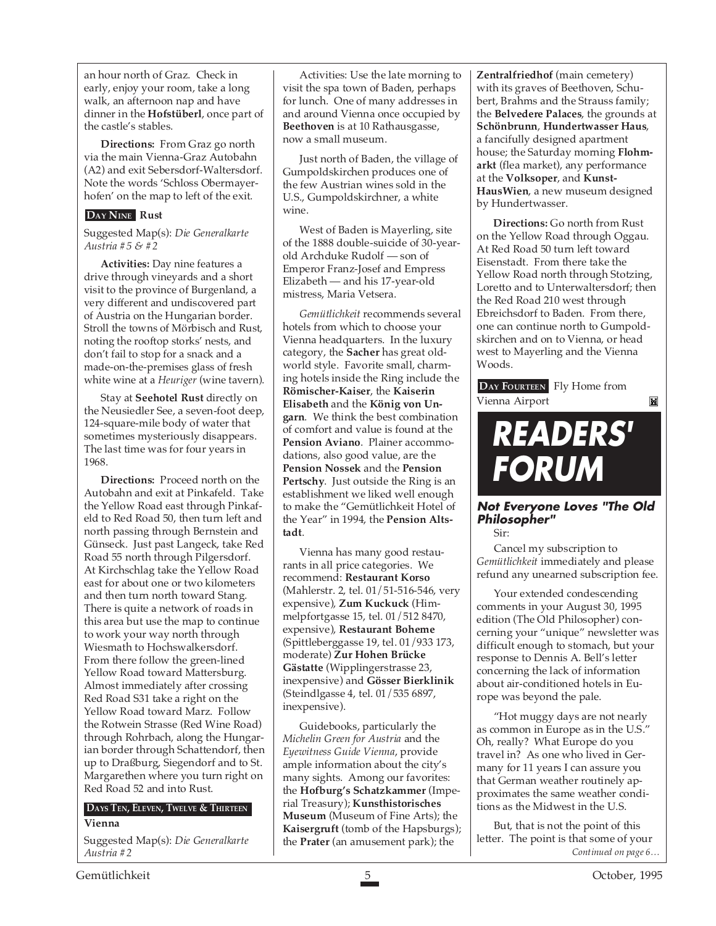an hour north of Graz. Check in early, enjoy your room, take a long walk, an afternoon nap and have dinner in the **Hofstüberl**, once part of the castle's stables.

**Directions:** From Graz go north via the main Vienna-Graz Autobahn (A2) and exit Sebersdorf-Waltersdorf. Note the words 'Schloss Obermayerhofen' on the map to left of the exit.

#### **DAY NINE Rust**

Suggested Map(s): *Die Generalkarte Austria #5 & #2*

**Activities:** Day nine features a drive through vineyards and a short visit to the province of Burgenland, a very different and undiscovered part of Austria on the Hungarian border. Stroll the towns of Mörbisch and Rust, noting the rooftop storks' nests, and don't fail to stop for a snack and a made-on-the-premises glass of fresh white wine at a *Heuriger* (wine tavern).

Stay at **Seehotel Rust** directly on the Neusiedler See, a seven-foot deep, 124-square-mile body of water that sometimes mysteriously disappears. The last time was for four years in 1968.

**Directions:** Proceed north on the Autobahn and exit at Pinkafeld. Take the Yellow Road east through Pinkafeld to Red Road 50, then turn left and north passing through Bernstein and Günseck. Just past Langeck, take Red Road 55 north through Pilgersdorf. At Kirchschlag take the Yellow Road east for about one or two kilometers and then turn north toward Stang. There is quite a network of roads in this area but use the map to continue to work your way north through Wiesmath to Hochswalkersdorf. From there follow the green-lined Yellow Road toward Mattersburg. Almost immediately after crossing Red Road S31 take a right on the Yellow Road toward Marz. Follow the Rotwein Strasse (Red Wine Road) through Rohrbach, along the Hungarian border through Schattendorf, then up to Draßburg, Siegendorf and to St. Margarethen where you turn right on Red Road 52 and into Rust.

### **DAYS TEN, ELEVEN, TWELVE & THIRTEEN**

**Vienna**

Suggested Map(s): *Die Generalkarte Austria #2*

Activities: Use the late morning to visit the spa town of Baden, perhaps for lunch. One of many addresses in and around Vienna once occupied by **Beethoven** is at 10 Rathausgasse, now a small museum.

Just north of Baden, the village of Gumpoldskirchen produces one of the few Austrian wines sold in the U.S., Gumpoldskirchner, a white wine.

West of Baden is Mayerling, site of the 1888 double-suicide of 30-yearold Archduke Rudolf — son of Emperor Franz-Josef and Empress Elizabeth — and his 17-year-old mistress, Maria Vetsera.

*Gemütlichkeit* recommends several hotels from which to choose your Vienna headquarters. In the luxury category, the **Sacher** has great oldworld style. Favorite small, charming hotels inside the Ring include the **Römischer-Kaiser**, the **Kaiserin Elisabeth** and the **König von Ungarn**. We think the best combination of comfort and value is found at the **Pension Aviano**. Plainer accommodations, also good value, are the **Pension Nossek** and the **Pension Pertschy**. Just outside the Ring is an establishment we liked well enough to make the "Gemütlichkeit Hotel of the Year" in 1994, the **Pension Altstadt**.

Vienna has many good restaurants in all price categories. We recommend: **Restaurant Korso** (Mahlerstr. 2, tel. 01/51-516-546, very expensive), **Zum Kuckuck** (Himmelpfortgasse 15, tel. 01/512 8470, expensive), **Restaurant Boheme** (Spittleberggasse 19, tel. 01/933 173, moderate) **Zur Hohen Brücke Gästatte** (Wipplingerstrasse 23, inexpensive) and **Gösser Bierklinik** (Steindlgasse 4, tel. 01/535 6897, inexpensive).

Guidebooks, particularly the *Michelin Green for Austria* and the *Eyewitness Guide Vienna*, provide ample information about the city's many sights. Among our favorites: the **Hofburg's Schatzkammer** (Imperial Treasury); **Kunsthistorisches Museum** (Museum of Fine Arts); the **Kaisergruft** (tomb of the Hapsburgs); the **Prater** (an amusement park); the

**Zentralfriedhof** (main cemetery) with its graves of Beethoven, Schubert, Brahms and the Strauss family; the **Belvedere Palaces**, the grounds at **Schönbrunn**, **Hundertwasser Haus**, a fancifully designed apartment house; the Saturday morning **Flohmarkt** (flea market), any performance at the **Volksoper**, and **Kunst-HausWien**, a new museum designed by Hundertwasser.

**Directions:** Go north from Rust on the Yellow Road through Oggau. At Red Road 50 turn left toward Eisenstadt. From there take the Yellow Road north through Stotzing, Loretto and to Unterwaltersdorf; then the Red Road 210 west through Ebreichsdorf to Baden. From there, one can continue north to Gumpoldskirchen and on to Vienna, or head west to Mayerling and the Vienna Woods.

**DAY FOURTEEN** Fly Home from Vienna Airport

#### M

## **READERS' FORUM**

**Not Everyone Loves "The Old Philosopher"** Sir:

Cancel my subscription to *Gemütlichkeit* immediately and please refund any unearned subscription fee.

Your extended condescending comments in your August 30, 1995 edition (The Old Philosopher) concerning your "unique" newsletter was difficult enough to stomach, but your response to Dennis A. Bell's letter concerning the lack of information about air-conditioned hotels in Europe was beyond the pale.

"Hot muggy days are not nearly as common in Europe as in the U.S." Oh, really? What Europe do you travel in? As one who lived in Germany for 11 years I can assure you that German weather routinely approximates the same weather conditions as the Midwest in the U.S.

*Continued on page 6…* But, that is not the point of this letter. The point is that some of your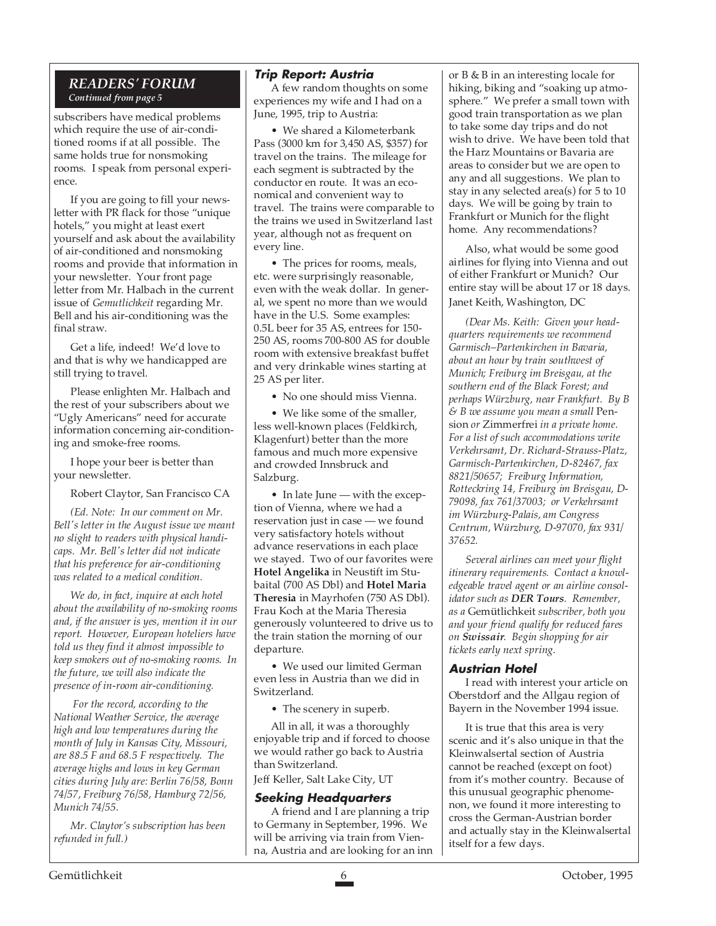#### *READERS' FORUM Continued from page 5*

subscribers have medical problems which require the use of air-conditioned rooms if at all possible. The same holds true for nonsmoking rooms. I speak from personal experience.

If you are going to fill your newsletter with PR flack for those "unique hotels," you might at least exert yourself and ask about the availability of air-conditioned and nonsmoking rooms and provide that information in your newsletter. Your front page letter from Mr. Halbach in the current issue of *Gemutlichkeit* regarding Mr. Bell and his air-conditioning was the final straw.

Get a life, indeed! We'd love to and that is why we handicapped are still trying to travel.

Please enlighten Mr. Halbach and the rest of your subscribers about we "Ugly Americans" need for accurate information concerning air-conditioning and smoke-free rooms.

I hope your beer is better than your newsletter.

Robert Claytor, San Francisco CA

*(Ed. Note: In our comment on Mr. Bell's letter in the August issue we meant no slight to readers with physical handicaps. Mr. Bell's letter did not indicate that his preference for air-conditioning was related to a medical condition.*

*We do, in fact, inquire at each hotel about the availability of no-smoking rooms and, if the answer is yes, mention it in our report. However, European hoteliers have told us they find it almost impossible to keep smokers out of no-smoking rooms. In the future, we will also indicate the presence of in-room air-conditioning.*

 *For the record, according to the National Weather Service, the average high and low temperatures during the month of July in Kansas City, Missouri, are 88.5 F and 68.5 F respectively. The average highs and lows in key German cities during July are: Berlin 76/58, Bonn 74/57, Freiburg 76/58, Hamburg 72/56, Munich 74/55.*

*Mr. Claytor's subscription has been refunded in full.)*

#### **Trip Report: Austria**

A few random thoughts on some experiences my wife and I had on a June, 1995, trip to Austria:

• We shared a Kilometerbank Pass (3000 km for 3,450 AS, \$357) for travel on the trains. The mileage for each segment is subtracted by the conductor en route. It was an economical and convenient way to travel. The trains were comparable to the trains we used in Switzerland last year, although not as frequent on every line.

• The prices for rooms, meals, etc. were surprisingly reasonable, even with the weak dollar. In general, we spent no more than we would have in the U.S. Some examples: 0.5L beer for 35 AS, entrees for 150- 250 AS, rooms 700-800 AS for double room with extensive breakfast buffet and very drinkable wines starting at 25 AS per liter.

• No one should miss Vienna.

• We like some of the smaller, less well-known places (Feldkirch, Klagenfurt) better than the more famous and much more expensive and crowded Innsbruck and Salzburg.

• In late June — with the exception of Vienna, where we had a reservation just in case — we found very satisfactory hotels without advance reservations in each place we stayed. Two of our favorites were **Hotel Angelika** in Neustift im Stubaital (700 AS Dbl) and **Hotel Maria Theresia** in Mayrhofen (750 AS Dbl). Frau Koch at the Maria Theresia generously volunteered to drive us to the train station the morning of our departure.

• We used our limited German even less in Austria than we did in Switzerland.

• The scenery in superb.

All in all, it was a thoroughly enjoyable trip and if forced to choose we would rather go back to Austria than Switzerland.

Jeff Keller, Salt Lake City, UT

### **Seeking Headquarters**

A friend and I are planning a trip to Germany in September, 1996. We will be arriving via train from Vienna, Austria and are looking for an inn or B & B in an interesting locale for hiking, biking and "soaking up atmosphere." We prefer a small town with good train transportation as we plan to take some day trips and do not wish to drive. We have been told that the Harz Mountains or Bavaria are areas to consider but we are open to any and all suggestions. We plan to stay in any selected area(s) for 5 to 10 days. We will be going by train to Frankfurt or Munich for the flight home. Any recommendations?

Also, what would be some good airlines for flying into Vienna and out of either Frankfurt or Munich? Our entire stay will be about 17 or 18 days. Janet Keith, Washington, DC

*(Dear Ms. Keith: Given your headquarters requirements we recommend Garmisch–Partenkirchen in Bavaria, about an hour by train southwest of Munich; Freiburg im Breisgau, at the southern end of the Black Forest; and perhaps Würzburg, near Frankfurt. By B & B we assume you mean a small* Pension *or* Zimmerfrei *in a private home. For a list of such accommodations write Verkehrsamt, Dr. Richard-Strauss-Platz, Garmisch-Partenkirchen, D-82467, fax 8821/50657; Freiburg Information, Rotteckring 14, Freiburg im Breisgau, D-79098, fax 761/37003; or Verkehrsamt im Würzburg-Palais, am Congress Centrum, Würzburg, D-97070, fax 931/ 37652.*

*Several airlines can meet your flight itinerary requirements. Contact a knowledgeable travel agent or an airline consolidator such as DER Tours. Remember, as a* Gemütlichkeit *subscriber, both you and your friend qualify for reduced fares on Swissair. Begin shopping for air tickets early next spring.*

#### **Austrian Hotel**

I read with interest your article on Oberstdorf and the Allgau region of Bayern in the November 1994 issue.

It is true that this area is very scenic and it's also unique in that the Kleinwalsertal section of Austria cannot be reached (except on foot) from it's mother country. Because of this unusual geographic phenomenon, we found it more interesting to cross the German-Austrian border and actually stay in the Kleinwalsertal itself for a few days.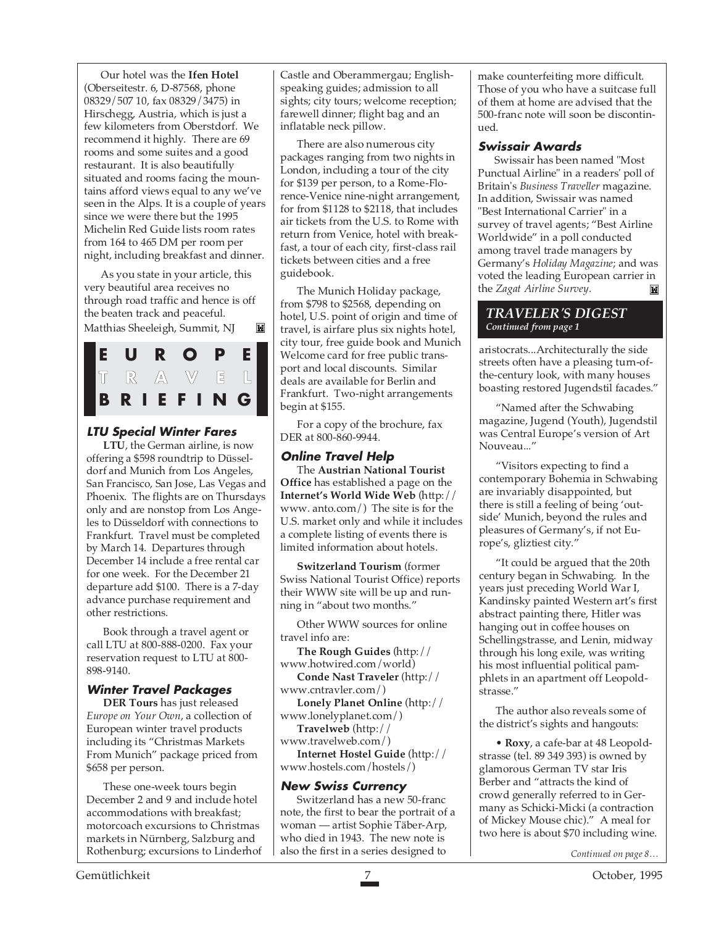Our hotel was the **Ifen Hotel** (Oberseitestr. 6, D-87568, phone 08329/507 10, fax 08329/3475) in Hirschegg, Austria, which is just a few kilometers from Oberstdorf. We recommend it highly. There are 69 rooms and some suites and a good restaurant. It is also beautifully situated and rooms facing the mountains afford views equal to any we've seen in the Alps. It is a couple of years since we were there but the 1995 Michelin Red Guide lists room rates from 164 to 465 DM per room per night, including breakfast and dinner.

As you state in your article, this very beautiful area receives no through road traffic and hence is off the beaten track and peaceful. Matthias Sheeleigh, Summit, NJ M



#### **LTU Special Winter Fares**

**LTU**, the German airline, is now offering a \$598 roundtrip to Düsseldorf and Munich from Los Angeles, San Francisco, San Jose, Las Vegas and Phoenix. The flights are on Thursdays only and are nonstop from Los Angeles to Düsseldorf with connections to Frankfurt. Travel must be completed by March 14. Departures through December 14 include a free rental car for one week. For the December 21 departure add \$100. There is a 7-day advance purchase requirement and other restrictions.

Book through a travel agent or call LTU at 800-888-0200. Fax your reservation request to LTU at 800- 898-9140.

#### **Winter Travel Packages**

**DER Tours** has just released *Europe on Your Own*, a collection of European winter travel products including its "Christmas Markets From Munich" package priced from \$658 per person.

These one-week tours begin December 2 and 9 and include hotel accommodations with breakfast; motorcoach excursions to Christmas markets in Nürnberg, Salzburg and Rothenburg; excursions to Linderhof

Castle and Oberammergau; Englishspeaking guides; admission to all sights; city tours; welcome reception; farewell dinner; flight bag and an inflatable neck pillow.

There are also numerous city packages ranging from two nights in London, including a tour of the city for \$139 per person, to a Rome-Florence-Venice nine-night arrangement, for from \$1128 to \$2118, that includes air tickets from the U.S. to Rome with return from Venice, hotel with breakfast, a tour of each city, first-class rail tickets between cities and a free guidebook.

The Munich Holiday package, from \$798 to \$2568, depending on hotel, U.S. point of origin and time of travel, is airfare plus six nights hotel, city tour, free guide book and Munich Welcome card for free public transport and local discounts. Similar deals are available for Berlin and Frankfurt. Two-night arrangements begin at \$155.

For a copy of the brochure, fax DER at 800-860-9944.

### **Online Travel Help**

The **Austrian National Tourist Office** has established a page on the **Internet's World Wide Web** (http:// www. anto.com/) The site is for the U.S. market only and while it includes a complete listing of events there is limited information about hotels.

**Switzerland Tourism** (former Swiss National Tourist Office) reports their WWW site will be up and running in "about two months."

Other WWW sources for online travel info are:

**The Rough Guides** (http:// www.hotwired.com/world)

**Conde Nast Traveler** (http:// www.cntravler.com/)

**Lonely Planet Online** (http:// www.lonelyplanet.com/) **Travelweb** (http://

www.travelweb.com/)

**Internet Hostel Guide** (http:// www.hostels.com/hostels/)

#### **New Swiss Currency**

Switzerland has a new 50-franc note, the first to bear the portrait of a woman — artist Sophie Täber-Arp, who died in 1943. The new note is also the first in a series designed to

make counterfeiting more difficult. Those of you who have a suitcase full of them at home are advised that the 500-franc note will soon be discontinued.

#### **Swissair Awards**

Swissair has been named "Most Punctual Airline" in a readers' poll of Britain's *Business Traveller* magazine. In addition, Swissair was named "Best International Carrier" in a survey of travel agents; "Best Airline Worldwide" in a poll conducted among travel trade managers by Germany's *Holiday Magazine*; and was voted the leading European carrier in the *Zagat Airline Survey*.M

#### *TRAVELER'S DIGEST Continued from page 1*

aristocrats...Architecturally the side streets often have a pleasing turn-ofthe-century look, with many houses boasting restored Jugendstil facades."

"Named after the Schwabing magazine, Jugend (Youth), Jugendstil was Central Europe's version of Art Nouveau..."

"Visitors expecting to find a contemporary Bohemia in Schwabing are invariably disappointed, but there is still a feeling of being 'outside' Munich, beyond the rules and pleasures of Germany's, if not Europe's, gliztiest city."

"It could be argued that the 20th century began in Schwabing. In the years just preceding World War I, Kandinsky painted Western art's first abstract painting there, Hitler was hanging out in coffee houses on Schellingstrasse, and Lenin, midway through his long exile, was writing his most influential political pamphlets in an apartment off Leopoldstrasse."

The author also reveals some of the district's sights and hangouts:

• **Roxy**, a cafe-bar at 48 Leopoldstrasse (tel. 89 349 393) is owned by glamorous German TV star Iris Berber and "attracts the kind of crowd generally referred to in Germany as Schicki-Micki (a contraction of Mickey Mouse chic)." A meal for two here is about \$70 including wine.

*Continued on page 8…*